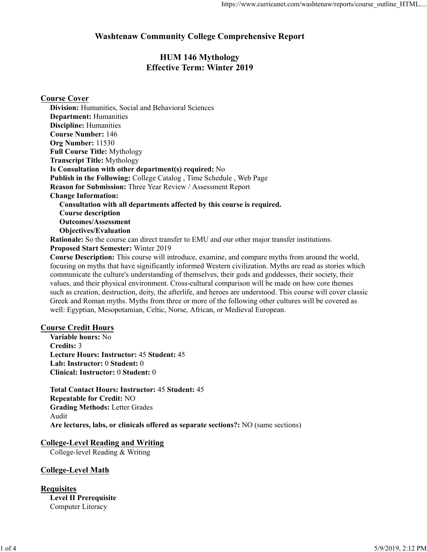# **Washtenaw Community College Comprehensive Report**

# **HUM 146 Mythology Effective Term: Winter 2019**

**Course Cover** 

Division: Humanities, Social and Behavioral Sciences **Department: Humanities Discipline: Humanities Course Number: 146** Org Number: 11530 **Full Course Title: Mythology Transcript Title: Mythology** Is Consultation with other department(s) required: No Publish in the Following: College Catalog, Time Schedule, Web Page Reason for Submission: Three Year Review / Assessment Report **Change Information:** Consultation with all departments affected by this course is required. **Course description Outcomes/Assessment Objectives/Evaluation** 

**Rationale:** So the course can direct transfer to EMU and our other major transfer institutions. **Proposed Start Semester: Winter 2019** 

Course Description: This course will introduce, examine, and compare myths from around the world, focusing on myths that have significantly informed Western civilization. Myths are read as stories which communicate the culture's understanding of themselves, their gods and goddesses, their society, their values, and their physical environment. Cross-cultural comparison will be made on how core themes such as creation, destruction, deity, the afterlife, and heroes are understood. This course will cover classic Greek and Roman myths. Myths from three or more of the following other cultures will be covered as well: Egyptian, Mesopotamian, Celtic, Norse, African, or Medieval European.

#### **Course Credit Hours**

Variable hours: No Credits: 3 Lecture Hours: Instructor: 45 Student: 45 Lab: Instructor: 0 Student: 0 Clinical: Instructor: 0 Student: 0

**Total Contact Hours: Instructor: 45 Student: 45 Repeatable for Credit: NO Grading Methods: Letter Grades** Audit Are lectures, labs, or clinicals offered as separate sections?: NO (same sections)

#### **College-Level Reading and Writing**

College-level Reading & Writing

#### **College-Level Math**

**Requisites Level II Prerequisite** Computer Literacy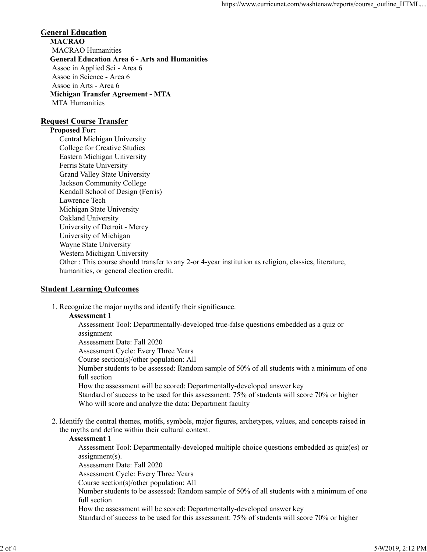#### **General Education MACRAO MACRAO** Humanities **General Education Area 6 - Arts and Humanities** Assoc in Applied Sci - Area 6 Assoc in Science - Area 6 Assoc in Arts - Area 6 **Michigan Transfer Agreement - MTA MTA Humanities**

#### **Request Course Transfer**

#### **Proposed For:**

Central Michigan University College for Creative Studies Eastern Michigan University Ferris State University **Grand Valley State University** Jackson Community College Kendall School of Design (Ferris) Lawrence Tech Michigan State University Oakland University University of Detroit - Mercy University of Michigan Wayne State University Western Michigan University Other : This course should transfer to any 2-or 4-year institution as religion, classics, literature, humanities, or general election credit.

#### **Student Learning Outcomes**

1. Recognize the major myths and identify their significance.

#### **Assessment 1**

Assessment Tool: Departmentally-developed true-false questions embedded as a quiz or assignment Assessment Date: Fall 2020 Assessment Cycle: Every Three Years Course section(s)/other population: All Number students to be assessed: Random sample of 50% of all students with a minimum of one full section How the assessment will be scored: Departmentally-developed answer key Standard of success to be used for this assessment: 75% of students will score 70% or higher Who will score and analyze the data: Department faculty

2. Identify the central themes, motifs, symbols, major figures, archetypes, values, and concepts raised in the myths and define within their cultural context.

#### **Assessment 1**

Assessment Tool: Departmentally-developed multiple choice questions embedded as quiz(es) or  $assignment(s)$ . Assessment Date: Fall 2020 Assessment Cycle: Every Three Years Course section(s)/other population: All Number students to be assessed: Random sample of 50% of all students with a minimum of one full section How the assessment will be scored: Departmentally-developed answer key Standard of success to be used for this assessment: 75% of students will score 70% or higher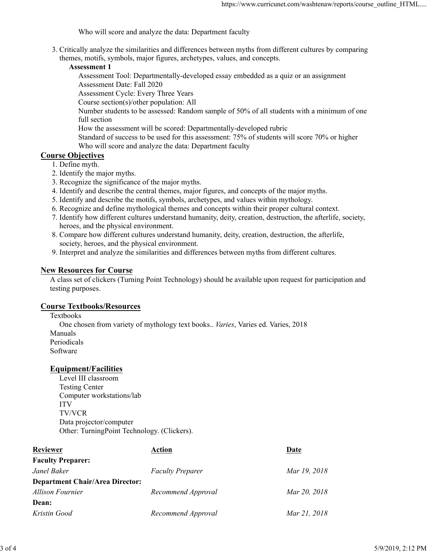Who will score and analyze the data: Department faculty

3. Critically analyze the similarities and differences between myths from different cultures by comparing themes, motifs, symbols, major figures, archetypes, values, and concepts.

#### **Assessment 1**

Assessment Tool: Departmentally-developed essay embedded as a quiz or an assignment Assessment Date: Fall 2020

Assessment Cycle: Every Three Years

Course section(s)/other population: All

Number students to be assessed: Random sample of 50% of all students with a minimum of one full section

How the assessment will be scored: Departmentally-developed rubric

Standard of success to be used for this assessment: 75% of students will score 70% or higher Who will score and analyze the data: Department faculty

#### **Course Objectives**

- 1. Define myth.
- 2. Identify the major myths.
- 3. Recognize the significance of the major myths.
- 4. Identify and describe the central themes, major figures, and concepts of the major myths.
- 5. Identify and describe the motifs, symbols, archetypes, and values within mythology.
- 6. Recognize and define mythological themes and concepts within their proper cultural context.
- 7. Identify how different cultures understand humanity, deity, creation, destruction, the afterlife, society, heroes, and the physical environment.
- 8. Compare how different cultures understand humanity, deity, creation, destruction, the afterlife, society, heroes, and the physical environment.
- 9. Interpret and analyze the similarities and differences between myths from different cultures.

#### **New Resources for Course**

A class set of clickers (Turning Point Technology) should be available upon request for participation and testing purposes.

#### **Course Textbooks/Resources**

Textbooks One chosen from variety of mythology text books.. Varies, Varies ed. Varies, 2018 Manuals Periodicals Software

#### **Equipment/Facilities**

Level III classroom **Testing Center** Computer workstations/lab **ITV TV/VCR** Data projector/computer Other: TurningPoint Technology. (Clickers).

| Reviewer                               | Action                  | Date         |
|----------------------------------------|-------------------------|--------------|
| <b>Faculty Preparer:</b>               |                         |              |
| Janel Baker                            | <b>Faculty Preparer</b> | Mar 19, 2018 |
| <b>Department Chair/Area Director:</b> |                         |              |
| <b>Allison Fournier</b>                | Recommend Approval      | Mar 20, 2018 |
| Dean:                                  |                         |              |
| Kristin Good                           | Recommend Approval      | Mar 21, 2018 |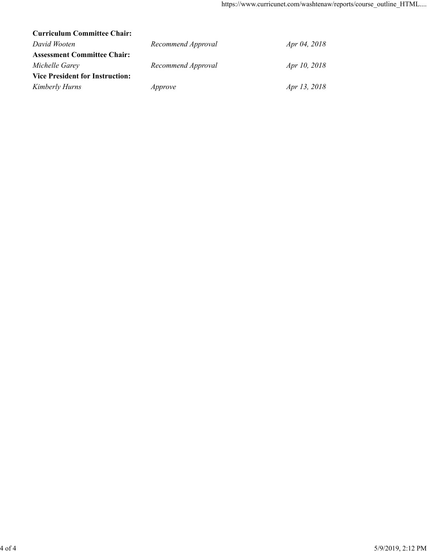| <b>Curriculum Committee Chair:</b>     |                    |              |
|----------------------------------------|--------------------|--------------|
| David Wooten                           | Recommend Approval | Apr 04, 2018 |
| <b>Assessment Committee Chair:</b>     |                    |              |
| Michelle Garey                         | Recommend Approval | Apr 10, 2018 |
| <b>Vice President for Instruction:</b> |                    |              |
| <b>Kimberly Hurns</b>                  | Approve            | Apr 13, 2018 |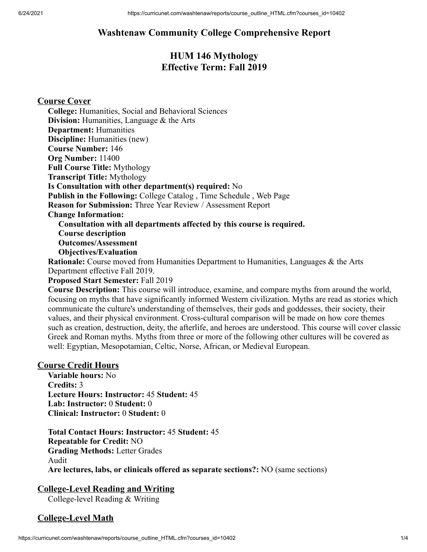# **Washtenaw Community College Comprehensive Report**

# **HUM 146 Mythology Effective Term: Fall 2019**

## **Course Cover**

**College:** Humanities, Social and Behavioral Sciences **Division:** Humanities, Language & the Arts **Department:** Humanities **Discipline:** Humanities (new) **Course Number:** 146 **Org Number:** 11400 **Full Course Title:** Mythology **Transcript Title:** Mythology **Is Consultation with other department(s) required:** No **Publish in the Following:** College Catalog , Time Schedule , Web Page **Reason for Submission:** Three Year Review / Assessment Report **Change Information: Consultation with all departments affected by this course is required. Course description Outcomes/Assessment Objectives/Evaluation**

**Rationale:** Course moved from Humanities Department to Humanities, Languages & the Arts Department effective Fall 2019.

#### **Proposed Start Semester:** Fall 2019

**Course Description:** This course will introduce, examine, and compare myths from around the world, focusing on myths that have significantly informed Western civilization. Myths are read as stories which communicate the culture's understanding of themselves, their gods and goddesses, their society, their values, and their physical environment. Cross-cultural comparison will be made on how core themes such as creation, destruction, deity, the afterlife, and heroes are understood. This course will cover classic Greek and Roman myths. Myths from three or more of the following other cultures will be covered as well: Egyptian, Mesopotamian, Celtic, Norse, African, or Medieval European.

#### **Course Credit Hours**

**Variable hours:** No **Credits:** 3 **Lecture Hours: Instructor:** 45 **Student:** 45 **Lab: Instructor:** 0 **Student:** 0 **Clinical: Instructor:** 0 **Student:** 0

**Total Contact Hours: Instructor:** 45 **Student:** 45 **Repeatable for Credit:** NO **Grading Methods:** Letter Grades Audit **Are lectures, labs, or clinicals offered as separate sections?:** NO (same sections)

## **College-Level Reading and Writing**

College-level Reading & Writing

## **College-Level Math**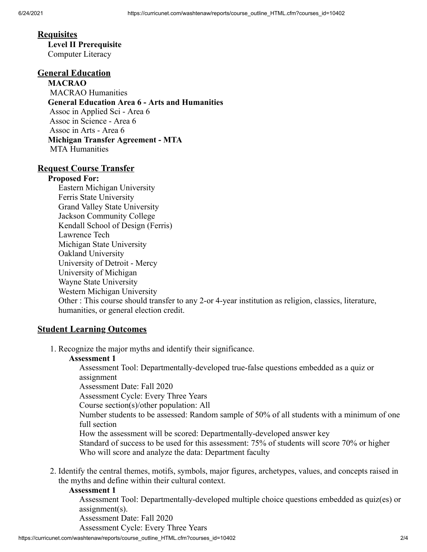#### **Requisites**

**Level II Prerequisite** Computer Literacy

# **General Education**

**MACRAO** MACRAO Humanities **General Education Area 6 - Arts and Humanities** Assoc in Applied Sci - Area 6 Assoc in Science - Area 6 Assoc in Arts - Area 6 **Michigan Transfer Agreement - MTA** MTA Humanities

#### **Request Course Transfer**

#### **Proposed For:**

Eastern Michigan University Ferris State University Grand Valley State University Jackson Community College Kendall School of Design (Ferris) Lawrence Tech Michigan State University Oakland University University of Detroit - Mercy University of Michigan Wayne State University Western Michigan University Other : This course should transfer to any 2-or 4-year institution as religion, classics, literature, humanities, or general election credit.

#### **Student Learning Outcomes**

1. Recognize the major myths and identify their significance.

#### **Assessment 1**

Assessment Tool: Departmentally-developed true-false questions embedded as a quiz or assignment

Assessment Date: Fall 2020

Assessment Cycle: Every Three Years

Course section(s)/other population: All

Number students to be assessed: Random sample of 50% of all students with a minimum of one full section

How the assessment will be scored: Departmentally-developed answer key

Standard of success to be used for this assessment: 75% of students will score 70% or higher Who will score and analyze the data: Department faculty

2. Identify the central themes, motifs, symbols, major figures, archetypes, values, and concepts raised in the myths and define within their cultural context.

#### **Assessment 1**

Assessment Tool: Departmentally-developed multiple choice questions embedded as quiz(es) or assignment(s).

Assessment Date: Fall 2020

Assessment Cycle: Every Three Years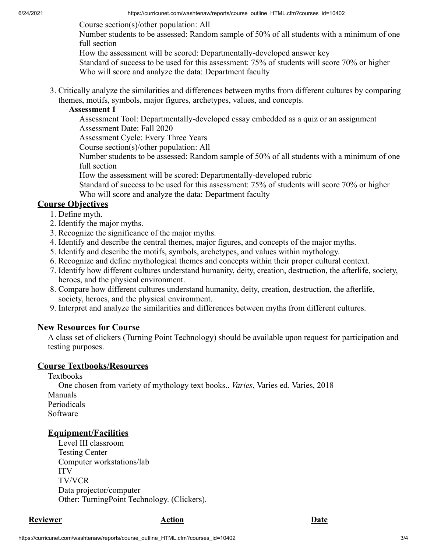Course section(s)/other population: All

Number students to be assessed: Random sample of 50% of all students with a minimum of one full section

How the assessment will be scored: Departmentally-developed answer key

Standard of success to be used for this assessment: 75% of students will score 70% or higher Who will score and analyze the data: Department faculty

3. Critically analyze the similarities and differences between myths from different cultures by comparing themes, motifs, symbols, major figures, archetypes, values, and concepts.

### **Assessment 1**

Assessment Tool: Departmentally-developed essay embedded as a quiz or an assignment Assessment Date: Fall 2020

Assessment Cycle: Every Three Years

Course section(s)/other population: All

Number students to be assessed: Random sample of 50% of all students with a minimum of one full section

How the assessment will be scored: Departmentally-developed rubric

Standard of success to be used for this assessment: 75% of students will score 70% or higher Who will score and analyze the data: Department faculty

# **Course Objectives**

- 1. Define myth.
- 2. Identify the major myths.
- 3. Recognize the significance of the major myths.
- 4. Identify and describe the central themes, major figures, and concepts of the major myths.
- 5. Identify and describe the motifs, symbols, archetypes, and values within mythology.
- 6. Recognize and define mythological themes and concepts within their proper cultural context.
- 7. Identify how different cultures understand humanity, deity, creation, destruction, the afterlife, society, heroes, and the physical environment.
- 8. Compare how different cultures understand humanity, deity, creation, destruction, the afterlife, society, heroes, and the physical environment.
- 9. Interpret and analyze the similarities and differences between myths from different cultures.

# **New Resources for Course**

A class set of clickers (Turning Point Technology) should be available upon request for participation and testing purposes.

# **Course Textbooks/Resources**

Textbooks

One chosen from variety of mythology text books.. *Varies*, Varies ed. Varies, 2018 Manuals Periodicals Software

# **Equipment/Facilities**

Level III classroom Testing Center Computer workstations/lab ITV TV/VCR Data projector/computer Other: TurningPoint Technology. (Clickers).